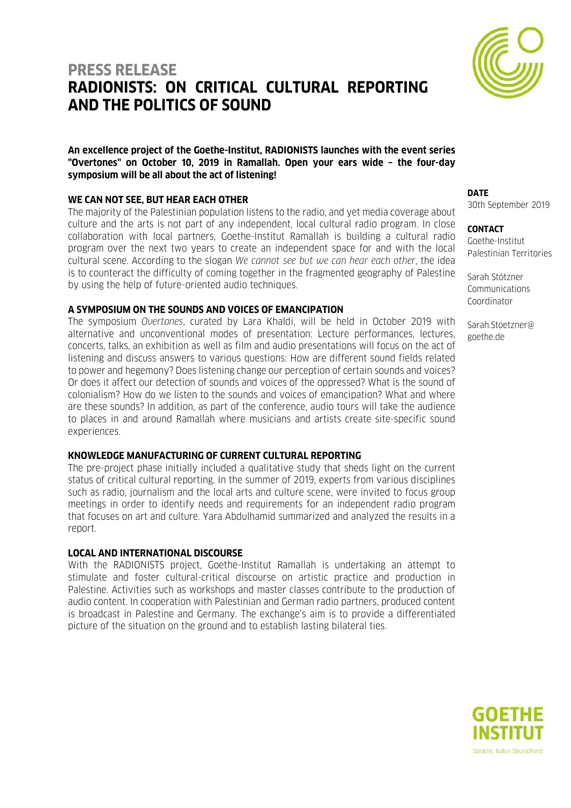# **PRESS RELEASE RADIONISTS: ON CRITICAL CULTURAL REPORTING AND THE POLITICS OF SOUND**



### **WE CAN NOT SEE, BUT HEAR EACH OTHER**

The majority of the Palestinian population listens to the radio, and yet media coverage about culture and the arts is not part of any independent, local cultural radio program. In close collaboration with local partners, Goethe-Institut Ramallah is building a cultural radio program over the next two years to create an independent space for and with the local cultural scene. According to the slogan *We cannot see but we can hear each other*, the idea is to counteract the difficulty of coming together in the fragmented geography of Palestine by using the help of future-oriented audio techniques.

## **A SYMPOSIUM ON THE SOUNDS AND VOICES OF EMANCIPATION**

The symposium *Overtones*, curated by Lara Khaldi, will be held in October 2019 with alternative and unconventional modes of presentation: Lecture performances, lectures, concerts, talks, an exhibition as well as film and audio presentations will focus on the act of listening and discuss answers to various questions: How are different sound fields related to power and hegemony? Does listening change our perception of certain sounds and voices? Or does it affect our detection of sounds and voices of the oppressed? What is the sound of colonialism? How do we listen to the sounds and voices of emancipation? What and where are these sounds? In addition, as part of the conference, audio tours will take the audience to places in and around Ramallah where musicians and artists create site-specific sound experiences.

## **KNOWLEDGE MANUFACTURING OF CURRENT CULTURAL REPORTING**

The pre-project phase initially included a qualitative study that sheds light on the current status of critical cultural reporting. In the summer of 2019, experts from various disciplines such as radio, journalism and the local arts and culture scene, were invited to focus group meetings in order to identify needs and requirements for an independent radio program that focuses on art and culture. Yara Abdulhamid summarized and analyzed the results in a report.

## **LOCAL AND INTERNATIONAL DISCOURSE**

With the RADIONISTS project, Goethe-Institut Ramallah is undertaking an attempt to stimulate and foster cultural-critical discourse on artistic practice and production in Palestine. Activities such as workshops and master classes contribute to the production of audio content. In cooperation with Palestinian and German radio partners, produced content is broadcast in Palestine and Germany. The exchange's aim is to provide a differentiated picture of the situation on the ground and to establish lasting bilateral ties.

# **DATE**

30th September 2019

#### **CONTACT**

Goethe-Institut Palestinian Territories

Sarah Stötzner Communications Coordinator

Sarah.Stoetzner@ goethe.de



Sprache, Kultur, Deutschland